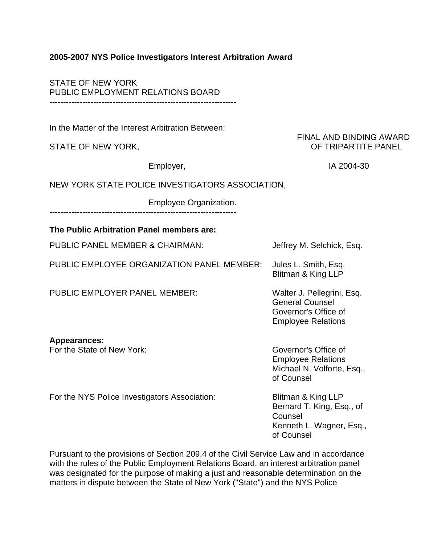## **2005-2007 NYS Police Investigators Interest Arbitration Award**

STATE OF NEW YORK PUBLIC EMPLOYMENT RELATIONS BOARD --------------------------------------------------------------------

In the Matter of the Interest Arbitration Between:

## FINAL AND BINDING AWARD STATE OF NEW YORK, STATE OF TRIPARTITE PANEL

Employer, and the state of the UA 2004-30

# NEW YORK STATE POLICE INVESTIGATORS ASSOCIATION,

Employee Organization. --------------------------------------------------------------------

# **The Public Arbitration Panel members are:**

| PUBLIC PANEL MEMBER & CHAIRMAN:               | Jeffrey M. Selchick, Esq.                                                                                 |
|-----------------------------------------------|-----------------------------------------------------------------------------------------------------------|
| PUBLIC EMPLOYEE ORGANIZATION PANEL MEMBER:    | Jules L. Smith, Esq.<br>Blitman & King LLP                                                                |
| <b>PUBLIC EMPLOYER PANEL MEMBER:</b>          | Walter J. Pellegrini, Esq.<br><b>General Counsel</b><br>Governor's Office of<br><b>Employee Relations</b> |
| <b>Appearances:</b>                           |                                                                                                           |
| For the State of New York:                    | Governor's Office of<br><b>Employee Relations</b><br>Michael N. Volforte, Esq.,<br>of Counsel             |
| For the NYS Police Investigators Association: | Blitman & King LLP                                                                                        |

Bernard T. King, Esq., of Counsel Kenneth L. Wagner, Esq., of Counsel

Pursuant to the provisions of Section 209.4 of the Civil Service Law and in accordance with the rules of the Public Employment Relations Board, an interest arbitration panel was designated for the purpose of making a just and reasonable determination on the matters in dispute between the State of New York ("State") and the NYS Police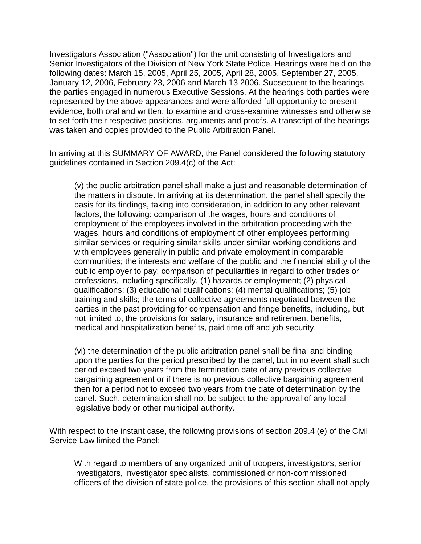Investigators Association ("Association") for the unit consisting of Investigators and Senior Investigators of the Division of New York State Police. Hearings were held on the following dates: March 15, 2005, April 25, 2005, April 28, 2005, September 27, 2005, January 12, 2006, February 23, 2006 and March 13 2006. Subsequent to the hearings the parties engaged in numerous Executive Sessions. At the hearings both parties were represented by the above appearances and were afforded full opportunity to present evidence, both oral and written, to examine and cross-examine witnesses and otherwise to set forth their respective positions, arguments and proofs. A transcript of the hearings was taken and copies provided to the Public Arbitration Panel.

In arriving at this SUMMARY OF AWARD, the Panel considered the following statutory guidelines contained in Section 209.4(c) of the Act:

(v) the public arbitration panel shall make a just and reasonable determination of the matters in dispute. In arriving at its determination, the panel shall specify the basis for its findings, taking into consideration, in addition to any other relevant factors, the following: comparison of the wages, hours and conditions of employment of the employees involved in the arbitration proceeding with the wages, hours and conditions of employment of other employees performing similar services or requiring similar skills under similar working conditions and with employees generally in public and private employment in comparable communities; the interests and welfare of the public and the financial ability of the public employer to pay; comparison of peculiarities in regard to other trades or professions, including specifically, (1) hazards or employment; (2) physical qualifications; (3) educational qualifications; (4) mental qualifications; (5) job training and skills; the terms of collective agreements negotiated between the parties in the past providing for compensation and fringe benefits, including, but not limited to, the provisions for salary, insurance and retirement benefits, medical and hospitalization benefits, paid time off and job security.

(vi) the determination of the public arbitration panel shall be final and binding upon the parties for the period prescribed by the panel, but in no event shall such period exceed two years from the termination date of any previous collective bargaining agreement or if there is no previous collective bargaining agreement then for a period not to exceed two years from the date of determination by the panel. Such. determination shall not be subject to the approval of any local legislative body or other municipal authority.

With respect to the instant case, the following provisions of section 209.4 (e) of the Civil Service Law limited the Panel:

With regard to members of any organized unit of troopers, investigators, senior investigators, investigator specialists, commissioned or non-commissioned officers of the division of state police, the provisions of this section shall not apply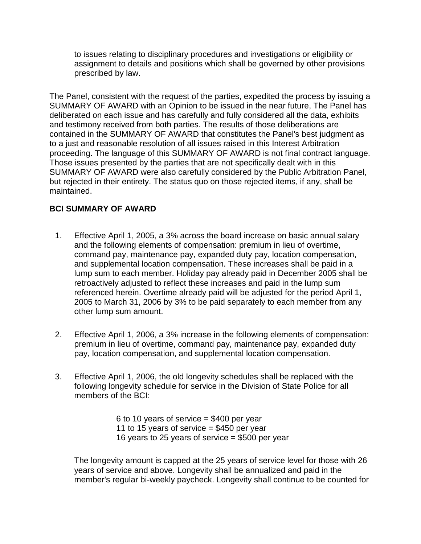to issues relating to disciplinary procedures and investigations or eligibility or assignment to details and positions which shall be governed by other provisions prescribed by law.

The Panel, consistent with the request of the parties, expedited the process by issuing a SUMMARY OF AWARD with an Opinion to be issued in the near future, The Panel has deliberated on each issue and has carefully and fully considered all the data, exhibits and testimony received from both parties. The results of those deliberations are contained in the SUMMARY OF AWARD that constitutes the Panel's best judgment as to a just and reasonable resolution of all issues raised in this Interest Arbitration proceeding. The language of this SUMMARY OF AWARD is not final contract language. Those issues presented by the parties that are not specifically dealt with in this SUMMARY OF AWARD were also carefully considered by the Public Arbitration Panel, but rejected in their entirety. The status quo on those rejected items, if any, shall be maintained.

# **BCI SUMMARY OF AWARD**

- 1. Effective April 1, 2005, a 3% across the board increase on basic annual salary and the following elements of compensation: premium in lieu of overtime, command pay, maintenance pay, expanded duty pay, location compensation, and supplemental location compensation. These increases shall be paid in a lump sum to each member. Holiday pay already paid in December 2005 shall be retroactively adjusted to reflect these increases and paid in the lump sum referenced herein. Overtime already paid will be adjusted for the period April 1, 2005 to March 31, 2006 by 3% to be paid separately to each member from any other lump sum amount.
- 2. Effective April 1, 2006, a 3% increase in the following elements of compensation: premium in lieu of overtime, command pay, maintenance pay, expanded duty pay, location compensation, and supplemental location compensation.
- 3. Effective April 1, 2006, the old longevity schedules shall be replaced with the following longevity schedule for service in the Division of State Police for all members of the BCI:

6 to 10 years of service = \$400 per year 11 to 15 years of service  $=$  \$450 per year 16 years to 25 years of service  $= $500$  per year

The longevity amount is capped at the 25 years of service level for those with 26 years of service and above. Longevity shall be annualized and paid in the member's regular bi-weekly paycheck. Longevity shall continue to be counted for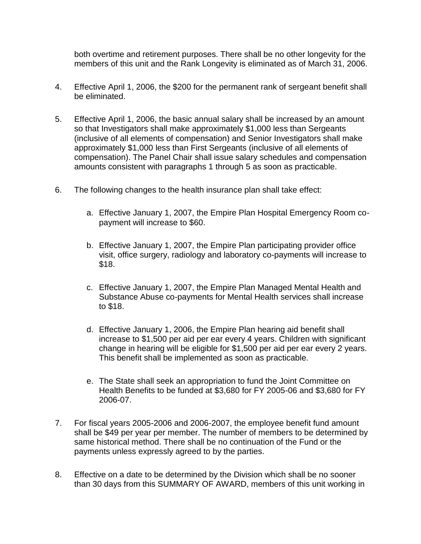both overtime and retirement purposes. There shall be no other longevity for the members of this unit and the Rank Longevity is eliminated as of March 31, 2006.

- 4. Effective April 1, 2006, the \$200 for the permanent rank of sergeant benefit shall be eliminated.
- 5. Effective April 1, 2006, the basic annual salary shall be increased by an amount so that Investigators shall make approximately \$1,000 less than Sergeants (inclusive of all elements of compensation) and Senior Investigators shall make approximately \$1,000 less than First Sergeants (inclusive of all elements of compensation). The Panel Chair shall issue salary schedules and compensation amounts consistent with paragraphs 1 through 5 as soon as practicable.
- 6. The following changes to the health insurance plan shall take effect:
	- a. Effective January 1, 2007, the Empire Plan Hospital Emergency Room copayment will increase to \$60.
	- b. Effective January 1, 2007, the Empire Plan participating provider office visit, office surgery, radiology and laboratory co-payments will increase to \$18.
	- c. Effective January 1, 2007, the Empire Plan Managed Mental Health and Substance Abuse co-payments for Mental Health services shall increase to \$18.
	- d. Effective January 1, 2006, the Empire Plan hearing aid benefit shall increase to \$1,500 per aid per ear every 4 years. Children with significant change in hearing will be eligible for \$1,500 per aid per ear every 2 years. This benefit shall be implemented as soon as practicable.
	- e. The State shall seek an appropriation to fund the Joint Committee on Health Benefits to be funded at \$3,680 for FY 2005-06 and \$3,680 for FY 2006-07.
- 7. For fiscal years 2005-2006 and 2006-2007, the employee benefit fund amount shall be \$49 per year per member. The number of members to be determined by same historical method. There shall be no continuation of the Fund or the payments unless expressly agreed to by the parties.
- 8. Effective on a date to be determined by the Division which shall be no sooner than 30 days from this SUMMARY OF AWARD, members of this unit working in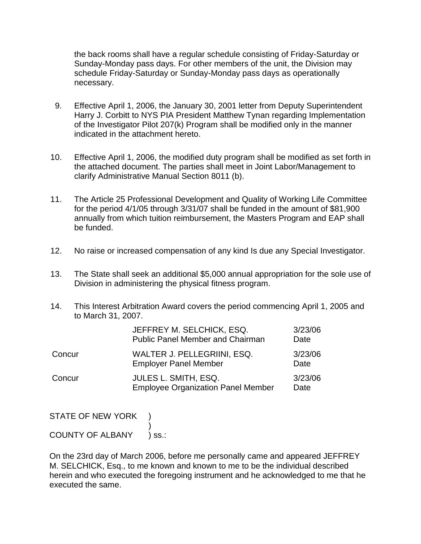the back rooms shall have a regular schedule consisting of Friday-Saturday or Sunday-Monday pass days. For other members of the unit, the Division may schedule Friday-Saturday or Sunday-Monday pass days as operationally necessary.

- 9. Effective April 1, 2006, the January 30, 2001 letter from Deputy Superintendent Harry J. Corbitt to NYS PIA President Matthew Tynan regarding Implementation of the Investigator Pilot 207(k) Program shall be modified only in the manner indicated in the attachment hereto.
- 10. Effective April 1, 2006, the modified duty program shall be modified as set forth in the attached document. The parties shall meet in Joint Labor/Management to clarify Administrative Manual Section 8011 (b).
- 11. The Article 25 Professional Development and Quality of Working Life Committee for the period 4/1/05 through 3/31/07 shall be funded in the amount of \$81,900 annually from which tuition reimbursement, the Masters Program and EAP shall be funded.
- 12. No raise or increased compensation of any kind Is due any Special Investigator.
- 13. The State shall seek an additional \$5,000 annual appropriation for the sole use of Division in administering the physical fitness program.
- 14. This Interest Arbitration Award covers the period commencing April 1, 2005 and to March 31, 2007.

|        | JEFFREY M. SELCHICK, ESQ.<br><b>Public Panel Member and Chairman</b> | 3/23/06<br>Date |
|--------|----------------------------------------------------------------------|-----------------|
| Concur | WALTER J. PELLEGRIINI, ESQ.<br><b>Employer Panel Member</b>          | 3/23/06<br>Date |
| Concur | JULES L. SMITH, ESQ.<br><b>Employee Organization Panel Member</b>    | 3/23/06<br>Date |

STATE OF NEW YORK

#### $\overline{\phantom{a}}$ COUNTY OF ALBANY ) ss.:

On the 23rd day of March 2006, before me personally came and appeared JEFFREY M. SELCHICK, Esq., to me known and known to me to be the individual described herein and who executed the foregoing instrument and he acknowledged to me that he executed the same.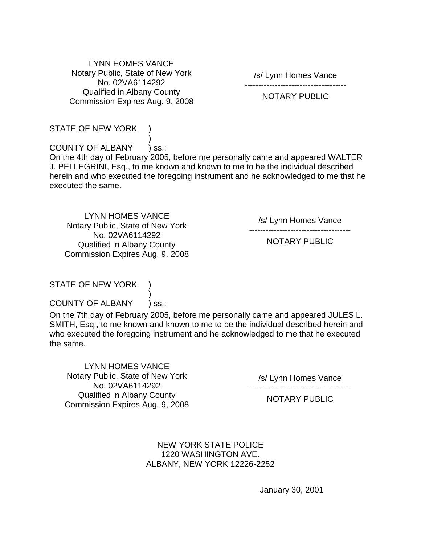LYNN HOMES VANCE Notary Public, State of New York No. 02VA6114292 Qualified in Albany County Commission Expires Aug. 9, 2008

/s/ Lynn Homes Vance -------------------------------------

## NOTARY PUBLIC

#### STATE OF NEW YORK

 $\overline{\phantom{a}}$ COUNTY OF ALBANY ) ss.:

On the 4th day of February 2005, before me personally came and appeared WALTER J. PELLEGRINI, Esq., to me known and known to me to be the individual described herein and who executed the foregoing instrument and he acknowledged to me that he executed the same.

LYNN HOMES VANCE Notary Public, State of New York No. 02VA6114292 Qualified in Albany County Commission Expires Aug. 9, 2008

/s/ Lynn Homes Vance

-------------------------------------

NOTARY PUBLIC

# STATE OF NEW YORK

 $\overline{\phantom{a}}$ COUNTY OF ALBANY ) ss.:

On the 7th day of February 2005, before me personally came and appeared JULES L. SMITH, Esq., to me known and known to me to be the individual described herein and who executed the foregoing instrument and he acknowledged to me that he executed the same.

LYNN HOMES VANCE Notary Public, State of New York No. 02VA6114292 Qualified in Albany County Commission Expires Aug. 9, 2008

/s/ Lynn Homes Vance -------------------------------------

NOTARY PUBLIC

NEW YORK STATE POLICE 1220 WASHINGTON AVE. ALBANY, NEW YORK 12226-2252

January 30, 2001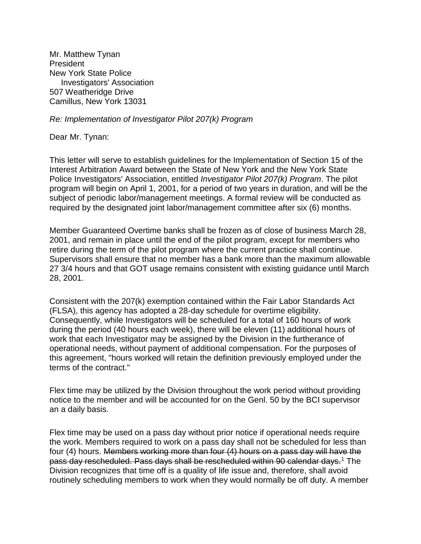Mr. Matthew Tynan President New York State Police Investigators' Association 507 Weatheridge Drive Camillus, New York 13031

*Re: Implementation of Investigator Pilot 207(k) Program*

Dear Mr. Tynan:

This letter will serve to establish guidelines for the Implementation of Section 15 of the Interest Arbitration Award between the State of New York and the New York State Police Investigators' Association, entitled *Investigator Pilot 207(k) Program*. The pilot program will begin on April 1, 2001, for a period of two years in duration, and will be the subject of periodic labor/management meetings. A formal review will be conducted as required by the designated joint labor/management committee after six (6) months.

Member Guaranteed Overtime banks shall be frozen as of close of business March 28, 2001, and remain in place until the end of the pilot program, except for members who retire during the term of the pilot program where the current practice shall continue. Supervisors shall ensure that no member has a bank more than the maximum allowable 27 3/4 hours and that GOT usage remains consistent with existing guidance until March 28, 2001.

Consistent with the 207(k) exemption contained within the Fair Labor Standards Act (FLSA), this agency has adopted a 28-day schedule for overtime eligibility. Consequently, while Investigators will be scheduled for a total of 160 hours of work during the period (40 hours each week), there will be eleven (11) additional hours of work that each Investigator may be assigned by the Division in the furtherance of operational needs, without payment of additional compensation. For the purposes of this agreement, "hours worked will retain the definition previously employed under the terms of the contract."

Flex time may be utilized by the Division throughout the work period without providing notice to the member and will be accounted for on the Genl. 50 by the BCI supervisor an a daily basis.

Flex time may be used on a pass day without prior notice if operational needs require the work. Members required to work on a pass day shall not be scheduled for less than four (4) hours. Members working more than four (4) hours on a pass day will have the pass day rescheduled. Pass days shall be rescheduled within 90 calendar days.<sup>[1](https://www.goer.ny.gov/Labor_Relations/Contracts/Current/piainv/2005-2007-piainv-award.cfm#fn1)</sup> The Division recognizes that time off is a quality of life issue and, therefore, shall avoid routinely scheduling members to work when they would normally be off duty. A member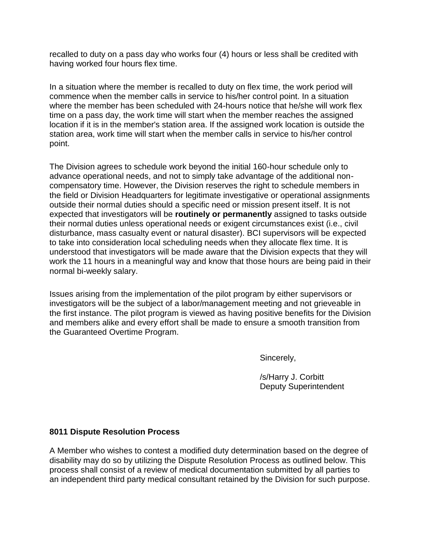recalled to duty on a pass day who works four (4) hours or less shall be credited with having worked four hours flex time.

In a situation where the member is recalled to duty on flex time, the work period will commence when the member calls in service to his/her control point. In a situation where the member has been scheduled with 24-hours notice that he/she will work flex time on a pass day, the work time will start when the member reaches the assigned location if it is in the member's station area. If the assigned work location is outside the station area, work time will start when the member calls in service to his/her control point.

The Division agrees to schedule work beyond the initial 160-hour schedule only to advance operational needs, and not to simply take advantage of the additional noncompensatory time. However, the Division reserves the right to schedule members in the field or Division Headquarters for legitimate investigative or operational assignments outside their normal duties should a specific need or mission present itself. It is not expected that investigators will be **routinely or permanently** assigned to tasks outside their normal duties unless operational needs or exigent circumstances exist (i.e., civil disturbance, mass casualty event or natural disaster). BCI supervisors will be expected to take into consideration local scheduling needs when they allocate flex time. It is understood that investigators will be made aware that the Division expects that they will work the 11 hours in a meaningful way and know that those hours are being paid in their normal bi-weekly salary.

Issues arising from the implementation of the pilot program by either supervisors or investigators will be the subject of a labor/management meeting and not grieveable in the first instance. The pilot program is viewed as having positive benefits for the Division and members alike and every effort shall be made to ensure a smooth transition from the Guaranteed Overtime Program.

Sincerely,

/s/Harry J. Corbitt Deputy Superintendent

# **8011 Dispute Resolution Process**

A Member who wishes to contest a modified duty determination based on the degree of disability may do so by utilizing the Dispute Resolution Process as outlined below. This process shall consist of a review of medical documentation submitted by all parties to an independent third party medical consultant retained by the Division for such purpose.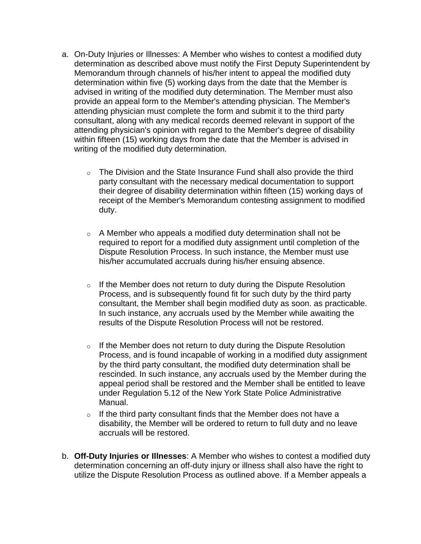- a. On-Duty Injuries or Illnesses: A Member who wishes to contest a modified duty determination as described above must notify the First Deputy Superintendent by Memorandum through channels of his/her intent to appeal the modified duty determination within five (5) working days from the date that the Member is advised in writing of the modified duty determination. The Member must also provide an appeal form to the Member's attending physician. The Member's attending physician must complete the form and submit it to the third party consultant, along with any medical records deemed relevant in support of the attending physician's opinion with regard to the Member's degree of disability within fifteen (15) working days from the date that the Member is advised in writing of the modified duty determination.
	- $\circ$  The Division and the State Insurance Fund shall also provide the third party consultant with the necessary medical documentation to support their degree of disability determination within fifteen (15) working days of receipt of the Member's Memorandum contesting assignment to modified duty.
	- $\circ$  A Member who appeals a modified duty determination shall not be required to report for a modified duty assignment until completion of the Dispute Resolution Process. In such instance, the Member must use his/her accumulated accruals during his/her ensuing absence.
	- $\circ$  If the Member does not return to duty during the Dispute Resolution Process, and is subsequently found fit for such duty by the third party consultant, the Member shall begin modified duty as soon. as practicable. In such instance, any accruals used by the Member while awaiting the results of the Dispute Resolution Process will not be restored.
	- $\circ$  If the Member does not return to duty during the Dispute Resolution Process, and is found incapable of working in a modified duty assignment by the third party consultant, the modified duty determination shall be rescinded. In such instance, any accruals used by the Member during the appeal period shall be restored and the Member shall be entitled to leave under Regulation 5.12 of the New York State Police Administrative Manual.
	- $\circ$  If the third party consultant finds that the Member does not have a disability, the Member will be ordered to return to full duty and no leave accruals will be restored.
- b. **Off-Duty Injuries or Illnesses**: A Member who wishes to contest a modified duty determination concerning an off-duty injury or illness shall also have the right to utilize the Dispute Resolution Process as outlined above. If a Member appeals a